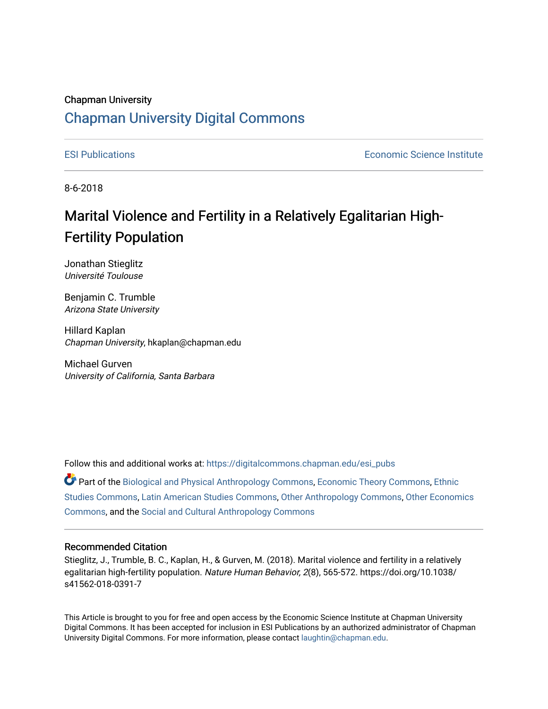# Chapman University [Chapman University Digital Commons](https://digitalcommons.chapman.edu/)

[ESI Publications](https://digitalcommons.chapman.edu/esi_pubs) [Economic Science Institute](https://digitalcommons.chapman.edu/esi) 

8-6-2018

# Marital Violence and Fertility in a Relatively Egalitarian High-Fertility Population

Jonathan Stieglitz Université Toulouse

Benjamin C. Trumble Arizona State University

Hillard Kaplan Chapman University, hkaplan@chapman.edu

Michael Gurven University of California, Santa Barbara

Follow this and additional works at: [https://digitalcommons.chapman.edu/esi\\_pubs](https://digitalcommons.chapman.edu/esi_pubs?utm_source=digitalcommons.chapman.edu%2Fesi_pubs%2F194&utm_medium=PDF&utm_campaign=PDFCoverPages) 

Part of the [Biological and Physical Anthropology Commons](http://network.bepress.com/hgg/discipline/320?utm_source=digitalcommons.chapman.edu%2Fesi_pubs%2F194&utm_medium=PDF&utm_campaign=PDFCoverPages), [Economic Theory Commons,](http://network.bepress.com/hgg/discipline/344?utm_source=digitalcommons.chapman.edu%2Fesi_pubs%2F194&utm_medium=PDF&utm_campaign=PDFCoverPages) [Ethnic](http://network.bepress.com/hgg/discipline/570?utm_source=digitalcommons.chapman.edu%2Fesi_pubs%2F194&utm_medium=PDF&utm_campaign=PDFCoverPages)  [Studies Commons,](http://network.bepress.com/hgg/discipline/570?utm_source=digitalcommons.chapman.edu%2Fesi_pubs%2F194&utm_medium=PDF&utm_campaign=PDFCoverPages) [Latin American Studies Commons,](http://network.bepress.com/hgg/discipline/363?utm_source=digitalcommons.chapman.edu%2Fesi_pubs%2F194&utm_medium=PDF&utm_campaign=PDFCoverPages) [Other Anthropology Commons](http://network.bepress.com/hgg/discipline/324?utm_source=digitalcommons.chapman.edu%2Fesi_pubs%2F194&utm_medium=PDF&utm_campaign=PDFCoverPages), [Other Economics](http://network.bepress.com/hgg/discipline/353?utm_source=digitalcommons.chapman.edu%2Fesi_pubs%2F194&utm_medium=PDF&utm_campaign=PDFCoverPages)  [Commons](http://network.bepress.com/hgg/discipline/353?utm_source=digitalcommons.chapman.edu%2Fesi_pubs%2F194&utm_medium=PDF&utm_campaign=PDFCoverPages), and the [Social and Cultural Anthropology Commons](http://network.bepress.com/hgg/discipline/323?utm_source=digitalcommons.chapman.edu%2Fesi_pubs%2F194&utm_medium=PDF&utm_campaign=PDFCoverPages) 

#### Recommended Citation

Stieglitz, J., Trumble, B. C., Kaplan, H., & Gurven, M. (2018). Marital violence and fertility in a relatively egalitarian high-fertility population. Nature Human Behavior, 2(8), 565-572. https://doi.org/10.1038/ s41562-018-0391-7

This Article is brought to you for free and open access by the Economic Science Institute at Chapman University Digital Commons. It has been accepted for inclusion in ESI Publications by an authorized administrator of Chapman University Digital Commons. For more information, please contact [laughtin@chapman.edu.](mailto:laughtin@chapman.edu)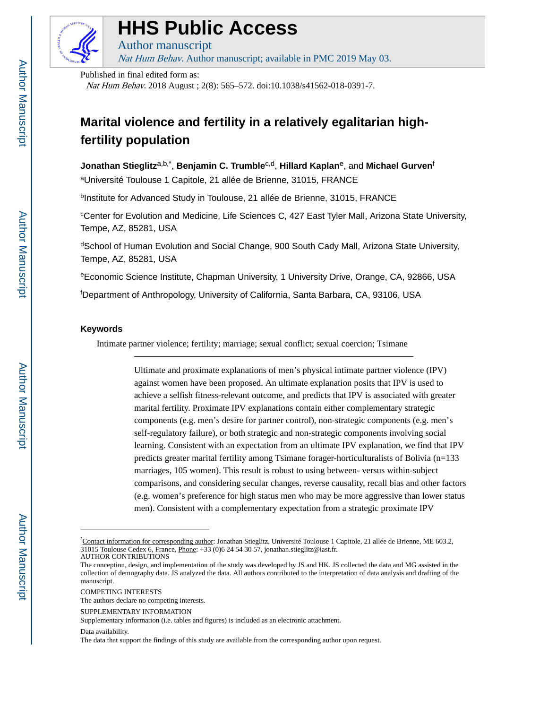

# **HHS Public Access**

Author manuscript Nat Hum Behav. Author manuscript; available in PMC 2019 May 03.

Published in final edited form as:

Nat Hum Behav. 2018 August ; 2(8): 565–572. doi:10.1038/s41562-018-0391-7.

# **Marital violence and fertility in a relatively egalitarian highfertility population**

 $J$ onathan Stieglitz<sup>a,b,\*</sup>, Benjamin C. Trumble<sup>c,d</sup>, Hillard Kaplan<sup>e</sup>, and Michael Gurven<sup>f</sup> <sup>a</sup>Université Toulouse 1 Capitole, 21 allée de Brienne, 31015, FRANCE

<sup>b</sup>Institute for Advanced Study in Toulouse, 21 allée de Brienne, 31015, FRANCE

<sup>c</sup>Center for Evolution and Medicine, Life Sciences C, 427 East Tyler Mall, Arizona State University, Tempe, AZ, 85281, USA

dSchool of Human Evolution and Social Change, 900 South Cady Mall, Arizona State University, Tempe, AZ, 85281, USA

<sup>e</sup>Economic Science Institute, Chapman University, 1 University Drive, Orange, CA, 92866, USA

<sup>f</sup>Department of Anthropology, University of California, Santa Barbara, CA, 93106, USA

# **Keywords**

Intimate partner violence; fertility; marriage; sexual conflict; sexual coercion; Tsimane

Ultimate and proximate explanations of men's physical intimate partner violence (IPV) against women have been proposed. An ultimate explanation posits that IPV is used to achieve a selfish fitness-relevant outcome, and predicts that IPV is associated with greater marital fertility. Proximate IPV explanations contain either complementary strategic components (e.g. men's desire for partner control), non-strategic components (e.g. men's self-regulatory failure), or both strategic and non-strategic components involving social learning. Consistent with an expectation from an ultimate IPV explanation, we find that IPV predicts greater marital fertility among Tsimane forager-horticulturalists of Bolivia (n=133 marriages, 105 women). This result is robust to using between- versus within-subject comparisons, and considering secular changes, reverse causality, recall bias and other factors (e.g. women's preference for high status men who may be more aggressive than lower status men). Consistent with a complementary expectation from a strategic proximate IPV

COMPETING INTERESTS

<sup>\*</sup>Contact information for corresponding author: Jonathan Stieglitz, Université Toulouse 1 Capitole, 21 allée de Brienne, ME 603.2, 31015 Toulouse Cedex 6, France, Phone: +33 (0)6 24 54 30 57, jonathan.stieglitz@iast.fr. AUTHOR CONTRIBUTIONS

The conception, design, and implementation of the study was developed by JS and HK. JS collected the data and MG assisted in the collection of demography data. JS analyzed the data. All authors contributed to the interpretation of data analysis and drafting of the manuscript.

The authors declare no competing interests.

SUPPLEMENTARY INFORMATION

Supplementary information (i.e. tables and figures) is included as an electronic attachment.

Data availability.

The data that support the findings of this study are available from the corresponding author upon request.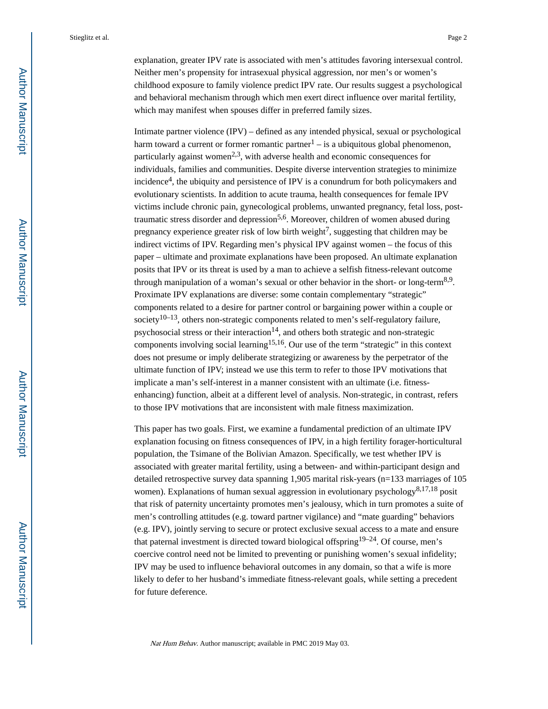explanation, greater IPV rate is associated with men's attitudes favoring intersexual control. Neither men's propensity for intrasexual physical aggression, nor men's or women's childhood exposure to family violence predict IPV rate. Our results suggest a psychological and behavioral mechanism through which men exert direct influence over marital fertility, which may manifest when spouses differ in preferred family sizes.

Intimate partner violence (IPV) – defined as any intended physical, sexual or psychological harm toward a current or former romantic partner<sup>1</sup> – is a ubiquitous global phenomenon, particularly against women<sup>2,3</sup>, with adverse health and economic consequences for individuals, families and communities. Despite diverse intervention strategies to minimize incidence<sup>4</sup> , the ubiquity and persistence of IPV is a conundrum for both policymakers and evolutionary scientists. In addition to acute trauma, health consequences for female IPV victims include chronic pain, gynecological problems, unwanted pregnancy, fetal loss, posttraumatic stress disorder and depression<sup>5,6</sup>. Moreover, children of women abused during pregnancy experience greater risk of low birth weight<sup>7</sup>, suggesting that children may be indirect victims of IPV. Regarding men's physical IPV against women – the focus of this paper – ultimate and proximate explanations have been proposed. An ultimate explanation posits that IPV or its threat is used by a man to achieve a selfish fitness-relevant outcome through manipulation of a woman's sexual or other behavior in the short- or long-term<sup>8,9</sup>. Proximate IPV explanations are diverse: some contain complementary "strategic" components related to a desire for partner control or bargaining power within a couple or society<sup>10–13</sup>, others non-strategic components related to men's self-regulatory failure, psychosocial stress or their interaction<sup>14</sup>, and others both strategic and non-strategic components involving social learning15,16. Our use of the term "strategic" in this context does not presume or imply deliberate strategizing or awareness by the perpetrator of the ultimate function of IPV; instead we use this term to refer to those IPV motivations that implicate a man's self-interest in a manner consistent with an ultimate (i.e. fitnessenhancing) function, albeit at a different level of analysis. Non-strategic, in contrast, refers to those IPV motivations that are inconsistent with male fitness maximization.

This paper has two goals. First, we examine a fundamental prediction of an ultimate IPV explanation focusing on fitness consequences of IPV, in a high fertility forager-horticultural population, the Tsimane of the Bolivian Amazon. Specifically, we test whether IPV is associated with greater marital fertility, using a between- and within-participant design and detailed retrospective survey data spanning 1,905 marital risk-years (n=133 marriages of 105 women). Explanations of human sexual aggression in evolutionary psychology<sup>8,17,18</sup> posit that risk of paternity uncertainty promotes men's jealousy, which in turn promotes a suite of men's controlling attitudes (e.g. toward partner vigilance) and "mate guarding" behaviors (e.g. IPV), jointly serving to secure or protect exclusive sexual access to a mate and ensure that paternal investment is directed toward biological offspring19–24. Of course, men's coercive control need not be limited to preventing or punishing women's sexual infidelity; IPV may be used to influence behavioral outcomes in any domain, so that a wife is more likely to defer to her husband's immediate fitness-relevant goals, while setting a precedent for future deference.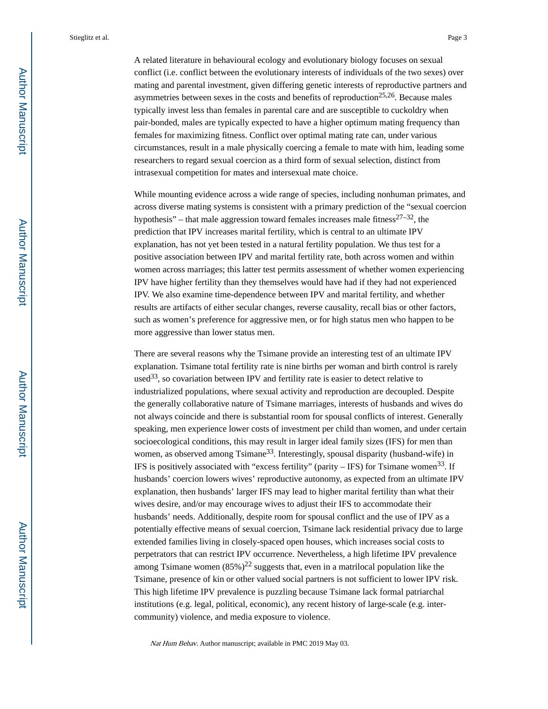A related literature in behavioural ecology and evolutionary biology focuses on sexual conflict (i.e. conflict between the evolutionary interests of individuals of the two sexes) over mating and parental investment, given differing genetic interests of reproductive partners and asymmetries between sexes in the costs and benefits of reproduction<sup>25,26</sup>. Because males typically invest less than females in parental care and are susceptible to cuckoldry when pair-bonded, males are typically expected to have a higher optimum mating frequency than females for maximizing fitness. Conflict over optimal mating rate can, under various circumstances, result in a male physically coercing a female to mate with him, leading some researchers to regard sexual coercion as a third form of sexual selection, distinct from intrasexual competition for mates and intersexual mate choice.

While mounting evidence across a wide range of species, including nonhuman primates, and across diverse mating systems is consistent with a primary prediction of the "sexual coercion hypothesis" – that male aggression toward females increases male fitness<sup>27–32</sup>, the prediction that IPV increases marital fertility, which is central to an ultimate IPV explanation, has not yet been tested in a natural fertility population. We thus test for a positive association between IPV and marital fertility rate, both across women and within women across marriages; this latter test permits assessment of whether women experiencing IPV have higher fertility than they themselves would have had if they had not experienced IPV. We also examine time-dependence between IPV and marital fertility, and whether results are artifacts of either secular changes, reverse causality, recall bias or other factors, such as women's preference for aggressive men, or for high status men who happen to be more aggressive than lower status men.

There are several reasons why the Tsimane provide an interesting test of an ultimate IPV explanation. Tsimane total fertility rate is nine births per woman and birth control is rarely used<sup>33</sup>, so covariation between IPV and fertility rate is easier to detect relative to industrialized populations, where sexual activity and reproduction are decoupled. Despite the generally collaborative nature of Tsimane marriages, interests of husbands and wives do not always coincide and there is substantial room for spousal conflicts of interest. Generally speaking, men experience lower costs of investment per child than women, and under certain socioecological conditions, this may result in larger ideal family sizes (IFS) for men than women, as observed among Tsimane<sup>33</sup>. Interestingly, spousal disparity (husband-wife) in IFS is positively associated with "excess fertility" (parity  $-$  IFS) for Tsimane women<sup>33</sup>. If husbands' coercion lowers wives' reproductive autonomy, as expected from an ultimate IPV explanation, then husbands' larger IFS may lead to higher marital fertility than what their wives desire, and/or may encourage wives to adjust their IFS to accommodate their husbands' needs. Additionally, despite room for spousal conflict and the use of IPV as a potentially effective means of sexual coercion, Tsimane lack residential privacy due to large extended families living in closely-spaced open houses, which increases social costs to perpetrators that can restrict IPV occurrence. Nevertheless, a high lifetime IPV prevalence among Tsimane women  $(85\%)^{22}$  suggests that, even in a matrilocal population like the Tsimane, presence of kin or other valued social partners is not sufficient to lower IPV risk. This high lifetime IPV prevalence is puzzling because Tsimane lack formal patriarchal institutions (e.g. legal, political, economic), any recent history of large-scale (e.g. intercommunity) violence, and media exposure to violence.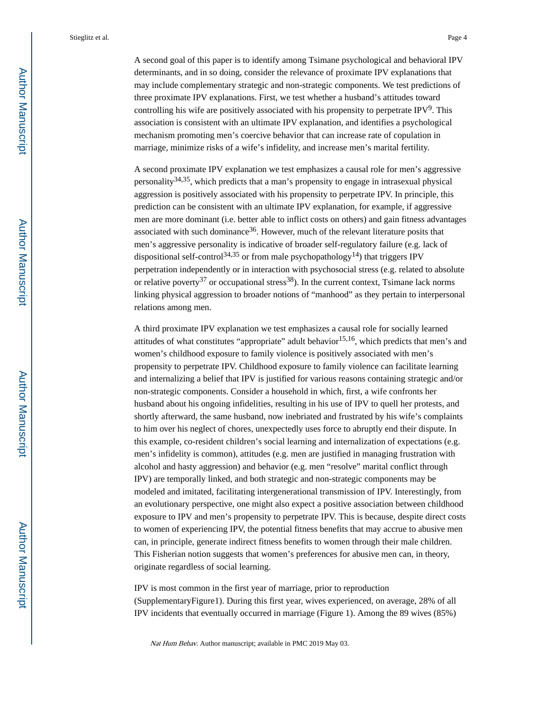A second goal of this paper is to identify among Tsimane psychological and behavioral IPV determinants, and in so doing, consider the relevance of proximate IPV explanations that may include complementary strategic and non-strategic components. We test predictions of three proximate IPV explanations. First, we test whether a husband's attitudes toward controlling his wife are positively associated with his propensity to perpetrate IPV $9$ . This association is consistent with an ultimate IPV explanation, and identifies a psychological mechanism promoting men's coercive behavior that can increase rate of copulation in marriage, minimize risks of a wife's infidelity, and increase men's marital fertility.

A second proximate IPV explanation we test emphasizes a causal role for men's aggressive personality  $34,35$ , which predicts that a man's propensity to engage in intrasexual physical aggression is positively associated with his propensity to perpetrate IPV. In principle, this prediction can be consistent with an ultimate IPV explanation, for example, if aggressive men are more dominant (i.e. better able to inflict costs on others) and gain fitness advantages associated with such dominance<sup>36</sup>. However, much of the relevant literature posits that men's aggressive personality is indicative of broader self-regulatory failure (e.g. lack of dispositional self-control<sup>34,35</sup> or from male psychopathology<sup>14</sup>) that triggers IPV perpetration independently or in interaction with psychosocial stress (e.g. related to absolute or relative poverty<sup>37</sup> or occupational stress<sup>38</sup>). In the current context, Tsimane lack norms linking physical aggression to broader notions of "manhood" as they pertain to interpersonal relations among men.

A third proximate IPV explanation we test emphasizes a causal role for socially learned attitudes of what constitutes "appropriate" adult behavior<sup>15,16</sup>, which predicts that men's and women's childhood exposure to family violence is positively associated with men's propensity to perpetrate IPV. Childhood exposure to family violence can facilitate learning and internalizing a belief that IPV is justified for various reasons containing strategic and/or non-strategic components. Consider a household in which, first, a wife confronts her husband about his ongoing infidelities, resulting in his use of IPV to quell her protests, and shortly afterward, the same husband, now inebriated and frustrated by his wife's complaints to him over his neglect of chores, unexpectedly uses force to abruptly end their dispute. In this example, co-resident children's social learning and internalization of expectations (e.g. men's infidelity is common), attitudes (e.g. men are justified in managing frustration with alcohol and hasty aggression) and behavior (e.g. men "resolve" marital conflict through IPV) are temporally linked, and both strategic and non-strategic components may be modeled and imitated, facilitating intergenerational transmission of IPV. Interestingly, from an evolutionary perspective, one might also expect a positive association between childhood exposure to IPV and men's propensity to perpetrate IPV. This is because, despite direct costs to women of experiencing IPV, the potential fitness benefits that may accrue to abusive men can, in principle, generate indirect fitness benefits to women through their male children. This Fisherian notion suggests that women's preferences for abusive men can, in theory, originate regardless of social learning.

IPV is most common in the first year of marriage, prior to reproduction (SupplementaryFigure1). During this first year, wives experienced, on average, 28% of all IPV incidents that eventually occurred in marriage (Figure 1). Among the 89 wives (85%)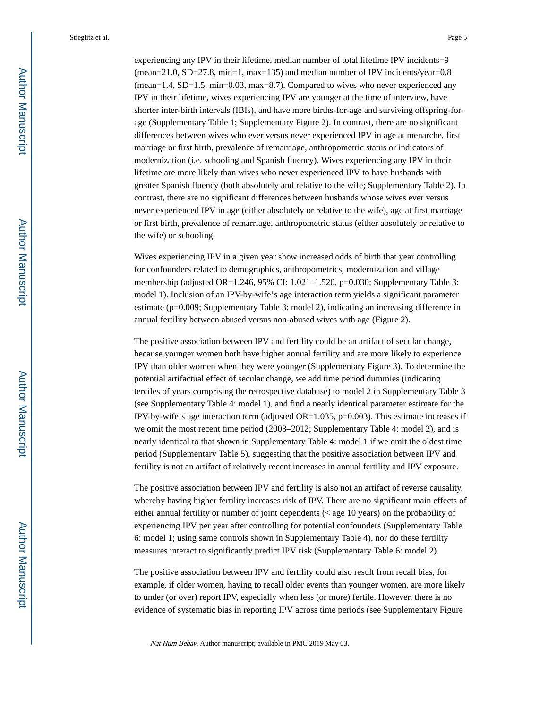experiencing any IPV in their lifetime, median number of total lifetime IPV incidents=9  $(mean=21.0, SD=27.8, min=1, max=135)$  and median number of IPV incidents/year=0.8  $(mean=1.4, SD=1.5, min=0.03, max=8.7)$ . Compared to wives who never experienced any IPV in their lifetime, wives experiencing IPV are younger at the time of interview, have shorter inter-birth intervals (IBIs), and have more births-for-age and surviving offspring-forage (Supplementary Table 1; Supplementary Figure 2). In contrast, there are no significant differences between wives who ever versus never experienced IPV in age at menarche, first marriage or first birth, prevalence of remarriage, anthropometric status or indicators of modernization (i.e. schooling and Spanish fluency). Wives experiencing any IPV in their lifetime are more likely than wives who never experienced IPV to have husbands with greater Spanish fluency (both absolutely and relative to the wife; Supplementary Table 2). In contrast, there are no significant differences between husbands whose wives ever versus never experienced IPV in age (either absolutely or relative to the wife), age at first marriage or first birth, prevalence of remarriage, anthropometric status (either absolutely or relative to the wife) or schooling.

Wives experiencing IPV in a given year show increased odds of birth that year controlling for confounders related to demographics, anthropometrics, modernization and village membership (adjusted OR=1.246, 95% CI: 1.021–1.520, p=0.030; Supplementary Table 3: model 1). Inclusion of an IPV-by-wife's age interaction term yields a significant parameter estimate (p=0.009; Supplementary Table 3: model 2), indicating an increasing difference in annual fertility between abused versus non-abused wives with age (Figure 2).

The positive association between IPV and fertility could be an artifact of secular change, because younger women both have higher annual fertility and are more likely to experience IPV than older women when they were younger (Supplementary Figure 3). To determine the potential artifactual effect of secular change, we add time period dummies (indicating terciles of years comprising the retrospective database) to model 2 in Supplementary Table 3 (see Supplementary Table 4: model 1), and find a nearly identical parameter estimate for the IPV-by-wife's age interaction term (adjusted  $OR=1.035$ ,  $p=0.003$ ). This estimate increases if we omit the most recent time period (2003–2012; Supplementary Table 4: model 2), and is nearly identical to that shown in Supplementary Table 4: model 1 if we omit the oldest time period (Supplementary Table 5), suggesting that the positive association between IPV and fertility is not an artifact of relatively recent increases in annual fertility and IPV exposure.

The positive association between IPV and fertility is also not an artifact of reverse causality, whereby having higher fertility increases risk of IPV. There are no significant main effects of either annual fertility or number of joint dependents (< age 10 years) on the probability of experiencing IPV per year after controlling for potential confounders (Supplementary Table 6: model 1; using same controls shown in Supplementary Table 4), nor do these fertility measures interact to significantly predict IPV risk (Supplementary Table 6: model 2).

The positive association between IPV and fertility could also result from recall bias, for example, if older women, having to recall older events than younger women, are more likely to under (or over) report IPV, especially when less (or more) fertile. However, there is no evidence of systematic bias in reporting IPV across time periods (see Supplementary Figure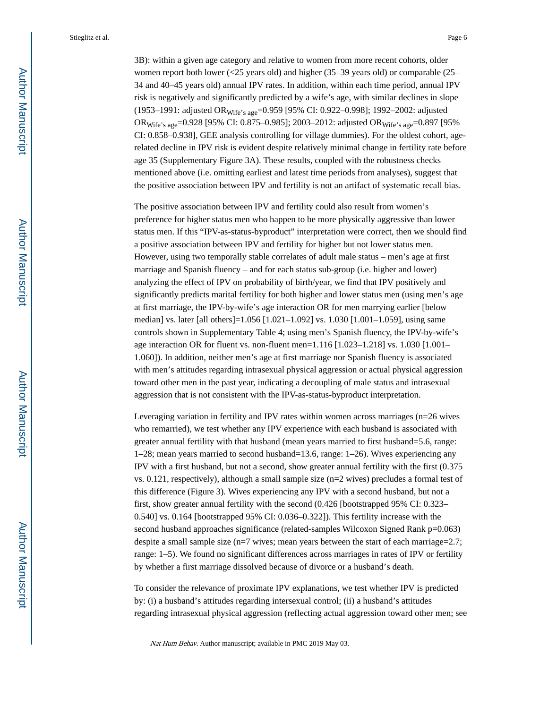3B): within a given age category and relative to women from more recent cohorts, older women report both lower (<25 years old) and higher (35–39 years old) or comparable (25– 34 and 40–45 years old) annual IPV rates. In addition, within each time period, annual IPV risk is negatively and significantly predicted by a wife's age, with similar declines in slope (1953–1991: adjusted ORWife's age=0.959 [95% CI: 0.922–0.998]; 1992–2002: adjusted OR<sub>Wife's age</sub>=0.928 [95% CI: 0.875-0.985]; 2003-2012: adjusted OR<sub>Wife's age</sub>=0.897 [95% CI: 0.858–0.938], GEE analysis controlling for village dummies). For the oldest cohort, agerelated decline in IPV risk is evident despite relatively minimal change in fertility rate before age 35 (Supplementary Figure 3A). These results, coupled with the robustness checks mentioned above (i.e. omitting earliest and latest time periods from analyses), suggest that the positive association between IPV and fertility is not an artifact of systematic recall bias.

The positive association between IPV and fertility could also result from women's preference for higher status men who happen to be more physically aggressive than lower status men. If this "IPV-as-status-byproduct" interpretation were correct, then we should find a positive association between IPV and fertility for higher but not lower status men. However, using two temporally stable correlates of adult male status – men's age at first marriage and Spanish fluency – and for each status sub-group (i.e. higher and lower) analyzing the effect of IPV on probability of birth/year, we find that IPV positively and significantly predicts marital fertility for both higher and lower status men (using men's age at first marriage, the IPV-by-wife's age interaction OR for men marrying earlier [below median] vs. later [all others]=1.056 [1.021–1.092] vs. 1.030 [1.001–1.059], using same controls shown in Supplementary Table 4; using men's Spanish fluency, the IPV-by-wife's age interaction OR for fluent vs. non-fluent men=1.116 [1.023–1.218] vs. 1.030 [1.001– 1.060]). In addition, neither men's age at first marriage nor Spanish fluency is associated with men's attitudes regarding intrasexual physical aggression or actual physical aggression toward other men in the past year, indicating a decoupling of male status and intrasexual aggression that is not consistent with the IPV-as-status-byproduct interpretation.

Leveraging variation in fertility and IPV rates within women across marriages  $(n=26$  wives who remarried), we test whether any IPV experience with each husband is associated with greater annual fertility with that husband (mean years married to first husband=5.6, range: 1–28; mean years married to second husband=13.6, range: 1–26). Wives experiencing any IPV with a first husband, but not a second, show greater annual fertility with the first (0.375 vs. 0.121, respectively), although a small sample size  $(n=2$  wives) precludes a formal test of this difference (Figure 3). Wives experiencing any IPV with a second husband, but not a first, show greater annual fertility with the second (0.426 [bootstrapped 95% CI: 0.323– 0.540] vs. 0.164 [bootstrapped 95% CI: 0.036–0.322]). This fertility increase with the second husband approaches significance (related-samples Wilcoxon Signed Rank p=0.063) despite a small sample size (n=7 wives; mean years between the start of each marriage=2.7; range: 1–5). We found no significant differences across marriages in rates of IPV or fertility by whether a first marriage dissolved because of divorce or a husband's death.

To consider the relevance of proximate IPV explanations, we test whether IPV is predicted by: (i) a husband's attitudes regarding intersexual control; (ii) a husband's attitudes regarding intrasexual physical aggression (reflecting actual aggression toward other men; see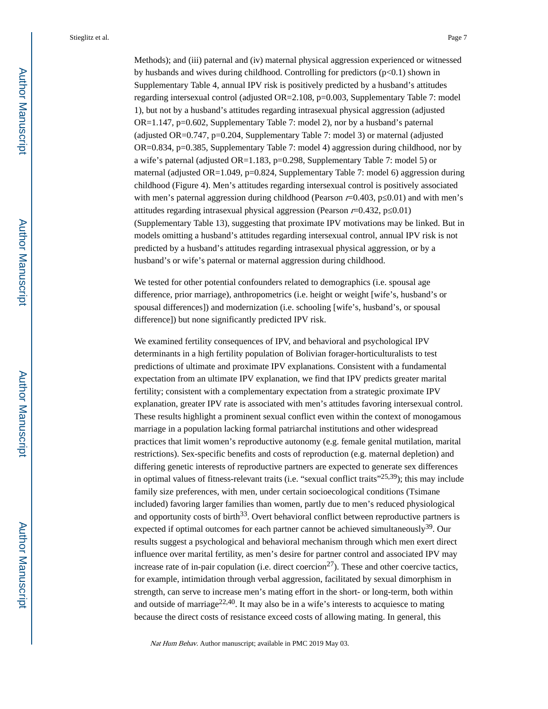Methods); and (iii) paternal and (iv) maternal physical aggression experienced or witnessed by husbands and wives during childhood. Controlling for predictors  $(p<0.1)$  shown in Supplementary Table 4, annual IPV risk is positively predicted by a husband's attitudes regarding intersexual control (adjusted OR=2.108, p=0.003, Supplementary Table 7: model 1), but not by a husband's attitudes regarding intrasexual physical aggression (adjusted OR=1.147, p=0.602, Supplementary Table 7: model 2), nor by a husband's paternal (adjusted OR=0.747, p=0.204, Supplementary Table 7: model 3) or maternal (adjusted OR=0.834, p=0.385, Supplementary Table 7: model 4) aggression during childhood, nor by a wife's paternal (adjusted OR=1.183, p=0.298, Supplementary Table 7: model 5) or maternal (adjusted OR=1.049, p=0.824, Supplementary Table 7: model 6) aggression during childhood (Figure 4). Men's attitudes regarding intersexual control is positively associated with men's paternal aggression during childhood (Pearson  $r=0.403$ , p $(0.01)$  and with men's attitudes regarding intrasexual physical aggression (Pearson  $r=0.432$ , p 0.01) (Supplementary Table 13), suggesting that proximate IPV motivations may be linked. But in models omitting a husband's attitudes regarding intersexual control, annual IPV risk is not predicted by a husband's attitudes regarding intrasexual physical aggression, or by a husband's or wife's paternal or maternal aggression during childhood.

We tested for other potential confounders related to demographics (i.e. spousal age difference, prior marriage), anthropometrics (i.e. height or weight [wife's, husband's or spousal differences]) and modernization (i.e. schooling [wife's, husband's, or spousal difference]) but none significantly predicted IPV risk.

We examined fertility consequences of IPV, and behavioral and psychological IPV determinants in a high fertility population of Bolivian forager-horticulturalists to test predictions of ultimate and proximate IPV explanations. Consistent with a fundamental expectation from an ultimate IPV explanation, we find that IPV predicts greater marital fertility; consistent with a complementary expectation from a strategic proximate IPV explanation, greater IPV rate is associated with men's attitudes favoring intersexual control. These results highlight a prominent sexual conflict even within the context of monogamous marriage in a population lacking formal patriarchal institutions and other widespread practices that limit women's reproductive autonomy (e.g. female genital mutilation, marital restrictions). Sex-specific benefits and costs of reproduction (e.g. maternal depletion) and differing genetic interests of reproductive partners are expected to generate sex differences in optimal values of fitness-relevant traits (i.e. "sexual conflict traits"25,39); this may include family size preferences, with men, under certain socioecological conditions (Tsimane included) favoring larger families than women, partly due to men's reduced physiological and opportunity costs of birth $33$ . Overt behavioral conflict between reproductive partners is expected if optimal outcomes for each partner cannot be achieved simultaneously $39$ . Our results suggest a psychological and behavioral mechanism through which men exert direct influence over marital fertility, as men's desire for partner control and associated IPV may increase rate of in-pair copulation (i.e. direct coercion<sup>27</sup>). These and other coercive tactics, for example, intimidation through verbal aggression, facilitated by sexual dimorphism in strength, can serve to increase men's mating effort in the short- or long-term, both within and outside of marriage<sup>22,40</sup>. It may also be in a wife's interests to acquiesce to mating because the direct costs of resistance exceed costs of allowing mating. In general, this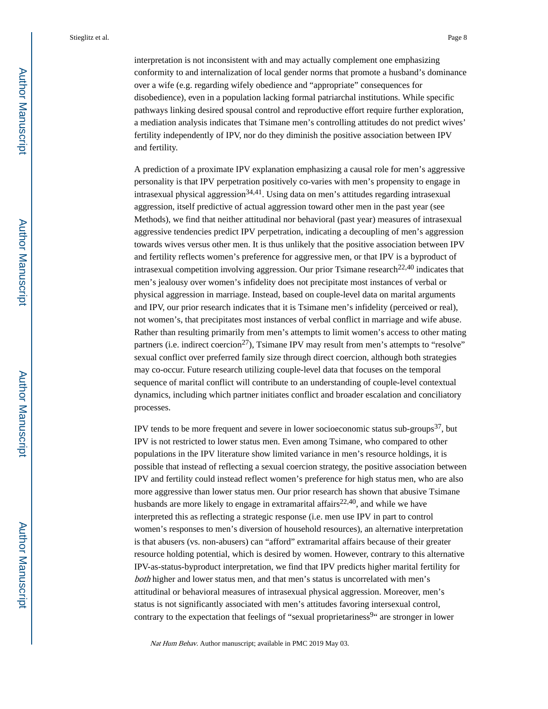interpretation is not inconsistent with and may actually complement one emphasizing conformity to and internalization of local gender norms that promote a husband's dominance over a wife (e.g. regarding wifely obedience and "appropriate" consequences for disobedience), even in a population lacking formal patriarchal institutions. While specific pathways linking desired spousal control and reproductive effort require further exploration, a mediation analysis indicates that Tsimane men's controlling attitudes do not predict wives' fertility independently of IPV, nor do they diminish the positive association between IPV and fertility.

A prediction of a proximate IPV explanation emphasizing a causal role for men's aggressive personality is that IPV perpetration positively co-varies with men's propensity to engage in intrasexual physical aggression<sup>34,41</sup>. Using data on men's attitudes regarding intrasexual aggression, itself predictive of actual aggression toward other men in the past year (see Methods), we find that neither attitudinal nor behavioral (past year) measures of intrasexual aggressive tendencies predict IPV perpetration, indicating a decoupling of men's aggression towards wives versus other men. It is thus unlikely that the positive association between IPV and fertility reflects women's preference for aggressive men, or that IPV is a byproduct of intrasexual competition involving aggression. Our prior Tsimane research<sup>22,40</sup> indicates that men's jealousy over women's infidelity does not precipitate most instances of verbal or physical aggression in marriage. Instead, based on couple-level data on marital arguments and IPV, our prior research indicates that it is Tsimane men's infidelity (perceived or real), not women's, that precipitates most instances of verbal conflict in marriage and wife abuse. Rather than resulting primarily from men's attempts to limit women's access to other mating partners (i.e. indirect coercion<sup>27</sup>), Tsimane IPV may result from men's attempts to "resolve" sexual conflict over preferred family size through direct coercion, although both strategies may co-occur. Future research utilizing couple-level data that focuses on the temporal sequence of marital conflict will contribute to an understanding of couple-level contextual dynamics, including which partner initiates conflict and broader escalation and conciliatory processes.

IPV tends to be more frequent and severe in lower socioeconomic status sub-groups $37$ , but IPV is not restricted to lower status men. Even among Tsimane, who compared to other populations in the IPV literature show limited variance in men's resource holdings, it is possible that instead of reflecting a sexual coercion strategy, the positive association between IPV and fertility could instead reflect women's preference for high status men, who are also more aggressive than lower status men. Our prior research has shown that abusive Tsimane husbands are more likely to engage in extramarital affairs<sup>22,40</sup>, and while we have interpreted this as reflecting a strategic response (i.e. men use IPV in part to control women's responses to men's diversion of household resources), an alternative interpretation is that abusers (vs. non-abusers) can "afford" extramarital affairs because of their greater resource holding potential, which is desired by women. However, contrary to this alternative IPV-as-status-byproduct interpretation, we find that IPV predicts higher marital fertility for both higher and lower status men, and that men's status is uncorrelated with men's attitudinal or behavioral measures of intrasexual physical aggression. Moreover, men's status is not significantly associated with men's attitudes favoring intersexual control, contrary to the expectation that feelings of "sexual proprietariness<sup>9</sup>" are stronger in lower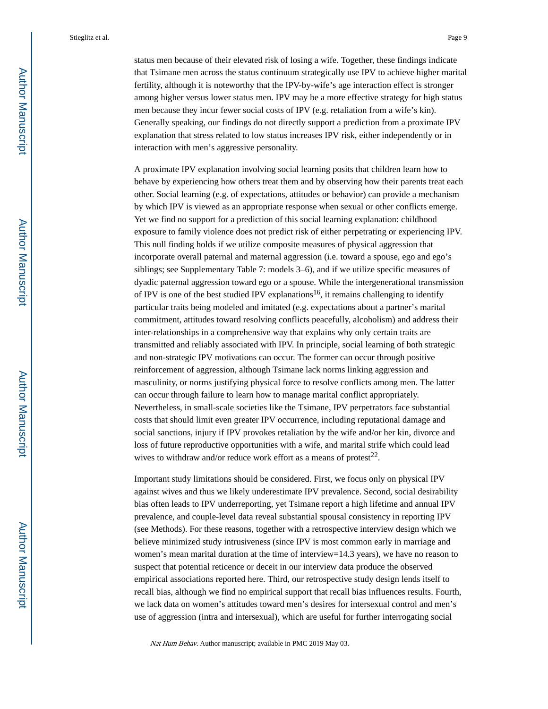status men because of their elevated risk of losing a wife. Together, these findings indicate that Tsimane men across the status continuum strategically use IPV to achieve higher marital fertility, although it is noteworthy that the IPV-by-wife's age interaction effect is stronger among higher versus lower status men. IPV may be a more effective strategy for high status men because they incur fewer social costs of IPV (e.g. retaliation from a wife's kin). Generally speaking, our findings do not directly support a prediction from a proximate IPV explanation that stress related to low status increases IPV risk, either independently or in interaction with men's aggressive personality.

A proximate IPV explanation involving social learning posits that children learn how to behave by experiencing how others treat them and by observing how their parents treat each other. Social learning (e.g. of expectations, attitudes or behavior) can provide a mechanism by which IPV is viewed as an appropriate response when sexual or other conflicts emerge. Yet we find no support for a prediction of this social learning explanation: childhood exposure to family violence does not predict risk of either perpetrating or experiencing IPV. This null finding holds if we utilize composite measures of physical aggression that incorporate overall paternal and maternal aggression (i.e. toward a spouse, ego and ego's siblings; see Supplementary Table 7: models 3–6), and if we utilize specific measures of dyadic paternal aggression toward ego or a spouse. While the intergenerational transmission of IPV is one of the best studied IPV explanations<sup>16</sup>, it remains challenging to identify particular traits being modeled and imitated (e.g. expectations about a partner's marital commitment, attitudes toward resolving conflicts peacefully, alcoholism) and address their inter-relationships in a comprehensive way that explains why only certain traits are transmitted and reliably associated with IPV. In principle, social learning of both strategic and non-strategic IPV motivations can occur. The former can occur through positive reinforcement of aggression, although Tsimane lack norms linking aggression and masculinity, or norms justifying physical force to resolve conflicts among men. The latter can occur through failure to learn how to manage marital conflict appropriately. Nevertheless, in small-scale societies like the Tsimane, IPV perpetrators face substantial costs that should limit even greater IPV occurrence, including reputational damage and social sanctions, injury if IPV provokes retaliation by the wife and/or her kin, divorce and loss of future reproductive opportunities with a wife, and marital strife which could lead wives to withdraw and/or reduce work effort as a means of protest<sup>22</sup>.

Important study limitations should be considered. First, we focus only on physical IPV against wives and thus we likely underestimate IPV prevalence. Second, social desirability bias often leads to IPV underreporting, yet Tsimane report a high lifetime and annual IPV prevalence, and couple-level data reveal substantial spousal consistency in reporting IPV (see Methods). For these reasons, together with a retrospective interview design which we believe minimized study intrusiveness (since IPV is most common early in marriage and women's mean marital duration at the time of interview=14.3 years), we have no reason to suspect that potential reticence or deceit in our interview data produce the observed empirical associations reported here. Third, our retrospective study design lends itself to recall bias, although we find no empirical support that recall bias influences results. Fourth, we lack data on women's attitudes toward men's desires for intersexual control and men's use of aggression (intra and intersexual), which are useful for further interrogating social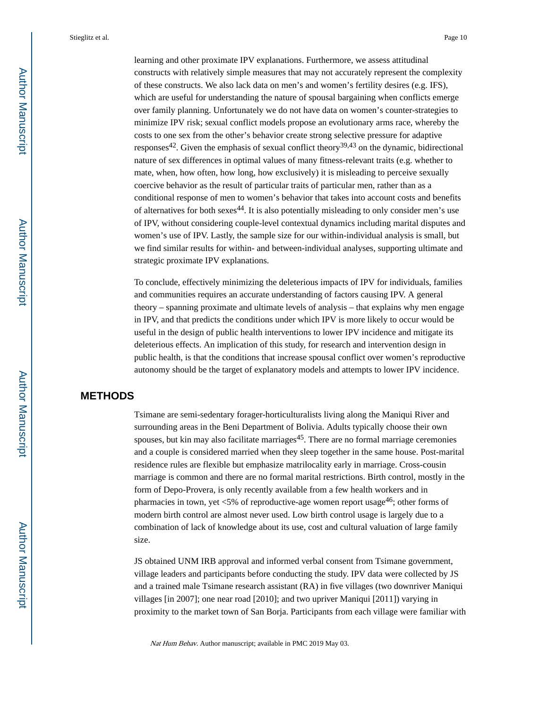learning and other proximate IPV explanations. Furthermore, we assess attitudinal constructs with relatively simple measures that may not accurately represent the complexity of these constructs. We also lack data on men's and women's fertility desires (e.g. IFS), which are useful for understanding the nature of spousal bargaining when conflicts emerge over family planning. Unfortunately we do not have data on women's counter-strategies to minimize IPV risk; sexual conflict models propose an evolutionary arms race, whereby the costs to one sex from the other's behavior create strong selective pressure for adaptive responses<sup>42</sup>. Given the emphasis of sexual conflict theory<sup>39,43</sup> on the dynamic, bidirectional nature of sex differences in optimal values of many fitness-relevant traits (e.g. whether to mate, when, how often, how long, how exclusively) it is misleading to perceive sexually coercive behavior as the result of particular traits of particular men, rather than as a conditional response of men to women's behavior that takes into account costs and benefits of alternatives for both sexes  $44$ . It is also potentially misleading to only consider men's use of IPV, without considering couple-level contextual dynamics including marital disputes and women's use of IPV. Lastly, the sample size for our within-individual analysis is small, but we find similar results for within- and between-individual analyses, supporting ultimate and strategic proximate IPV explanations.

To conclude, effectively minimizing the deleterious impacts of IPV for individuals, families and communities requires an accurate understanding of factors causing IPV. A general theory – spanning proximate and ultimate levels of analysis – that explains why men engage in IPV, and that predicts the conditions under which IPV is more likely to occur would be useful in the design of public health interventions to lower IPV incidence and mitigate its deleterious effects. An implication of this study, for research and intervention design in public health, is that the conditions that increase spousal conflict over women's reproductive autonomy should be the target of explanatory models and attempts to lower IPV incidence.

# **METHODS**

Tsimane are semi-sedentary forager-horticulturalists living along the Maniqui River and surrounding areas in the Beni Department of Bolivia. Adults typically choose their own spouses, but kin may also facilitate marriages $45$ . There are no formal marriage ceremonies and a couple is considered married when they sleep together in the same house. Post-marital residence rules are flexible but emphasize matrilocality early in marriage. Cross-cousin marriage is common and there are no formal marital restrictions. Birth control, mostly in the form of Depo-Provera, is only recently available from a few health workers and in pharmacies in town, yet <5% of reproductive-age women report usage<sup>46</sup>; other forms of modern birth control are almost never used. Low birth control usage is largely due to a combination of lack of knowledge about its use, cost and cultural valuation of large family size.

JS obtained UNM IRB approval and informed verbal consent from Tsimane government, village leaders and participants before conducting the study. IPV data were collected by JS and a trained male Tsimane research assistant (RA) in five villages (two downriver Maniqui villages [in 2007]; one near road [2010]; and two upriver Maniqui [2011]) varying in proximity to the market town of San Borja. Participants from each village were familiar with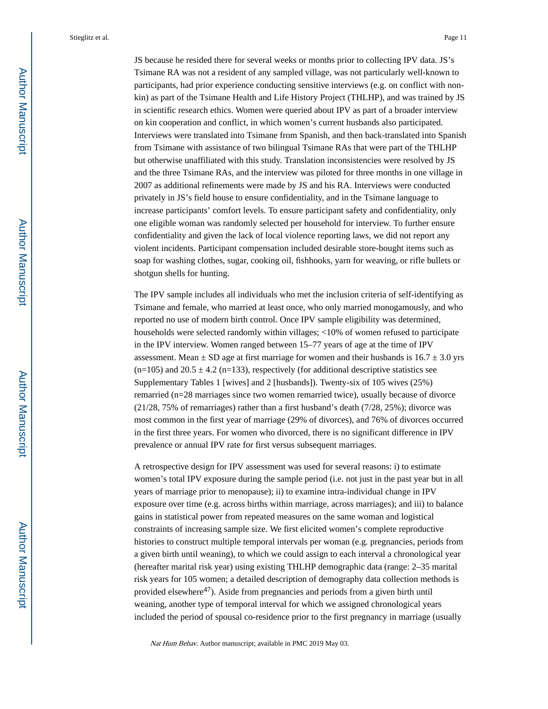JS because he resided there for several weeks or months prior to collecting IPV data. JS's Tsimane RA was not a resident of any sampled village, was not particularly well-known to participants, had prior experience conducting sensitive interviews (e.g. on conflict with nonkin) as part of the Tsimane Health and Life History Project (THLHP), and was trained by JS in scientific research ethics. Women were queried about IPV as part of a broader interview on kin cooperation and conflict, in which women's current husbands also participated. Interviews were translated into Tsimane from Spanish, and then back-translated into Spanish from Tsimane with assistance of two bilingual Tsimane RAs that were part of the THLHP but otherwise unaffiliated with this study. Translation inconsistencies were resolved by JS and the three Tsimane RAs, and the interview was piloted for three months in one village in 2007 as additional refinements were made by JS and his RA. Interviews were conducted privately in JS's field house to ensure confidentiality, and in the Tsimane language to increase participants' comfort levels. To ensure participant safety and confidentiality, only one eligible woman was randomly selected per household for interview. To further ensure confidentiality and given the lack of local violence reporting laws, we did not report any violent incidents. Participant compensation included desirable store-bought items such as soap for washing clothes, sugar, cooking oil, fishhooks, yarn for weaving, or rifle bullets or shotgun shells for hunting.

The IPV sample includes all individuals who met the inclusion criteria of self-identifying as Tsimane and female, who married at least once, who only married monogamously, and who reported no use of modern birth control. Once IPV sample eligibility was determined, households were selected randomly within villages; <10% of women refused to participate in the IPV interview. Women ranged between 15–77 years of age at the time of IPV assessment. Mean  $\pm$  SD age at first marriage for women and their husbands is 16.7  $\pm$  3.0 yrs  $(n=105)$  and  $20.5 \pm 4.2$  (n=133), respectively (for additional descriptive statistics see Supplementary Tables 1 [wives] and 2 [husbands]). Twenty-six of 105 wives (25%) remarried (n=28 marriages since two women remarried twice), usually because of divorce (21/28, 75% of remarriages) rather than a first husband's death (7/28, 25%); divorce was most common in the first year of marriage (29% of divorces), and 76% of divorces occurred in the first three years. For women who divorced, there is no significant difference in IPV prevalence or annual IPV rate for first versus subsequent marriages.

A retrospective design for IPV assessment was used for several reasons: i) to estimate women's total IPV exposure during the sample period (i.e. not just in the past year but in all years of marriage prior to menopause); ii) to examine intra-individual change in IPV exposure over time (e.g. across births within marriage, across marriages); and iii) to balance gains in statistical power from repeated measures on the same woman and logistical constraints of increasing sample size. We first elicited women's complete reproductive histories to construct multiple temporal intervals per woman (e.g. pregnancies, periods from a given birth until weaning), to which we could assign to each interval a chronological year (hereafter marital risk year) using existing THLHP demographic data (range: 2–35 marital risk years for 105 women; a detailed description of demography data collection methods is provided elsewhere<sup>47</sup>). Aside from pregnancies and periods from a given birth until weaning, another type of temporal interval for which we assigned chronological years included the period of spousal co-residence prior to the first pregnancy in marriage (usually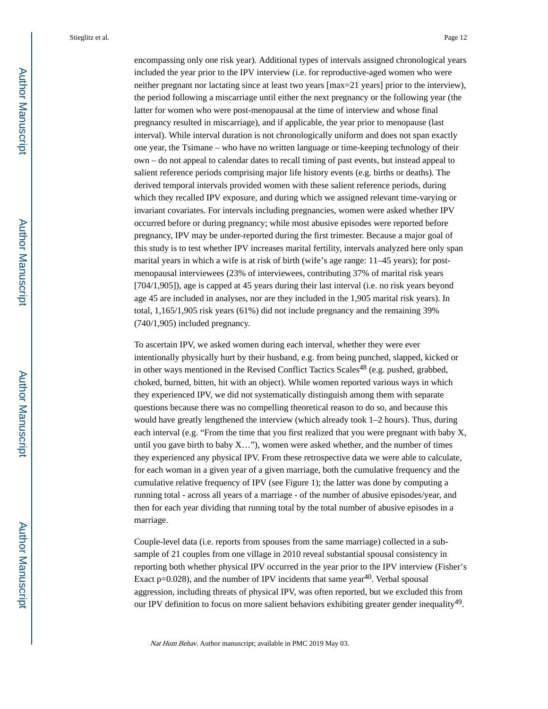encompassing only one risk year). Additional types of intervals assigned chronological years included the year prior to the IPV interview (i.e. for reproductive-aged women who were neither pregnant nor lactating since at least two years [max=21 years] prior to the interview), the period following a miscarriage until either the next pregnancy or the following year (the latter for women who were post-menopausal at the time of interview and whose final pregnancy resulted in miscarriage), and if applicable, the year prior to menopause (last interval). While interval duration is not chronologically uniform and does not span exactly one year, the Tsimane – who have no written language or time-keeping technology of their own – do not appeal to calendar dates to recall timing of past events, but instead appeal to salient reference periods comprising major life history events (e.g. births or deaths). The derived temporal intervals provided women with these salient reference periods, during which they recalled IPV exposure, and during which we assigned relevant time-varying or invariant covariates. For intervals including pregnancies, women were asked whether IPV occurred before or during pregnancy; while most abusive episodes were reported before pregnancy, IPV may be under-reported during the first trimester. Because a major goal of this study is to test whether IPV increases marital fertility, intervals analyzed here only span marital years in which a wife is at risk of birth (wife's age range: 11–45 years); for postmenopausal interviewees (23% of interviewees, contributing 37% of marital risk years [704/1,905]), age is capped at 45 years during their last interval (i.e. no risk years beyond age 45 are included in analyses, nor are they included in the 1,905 marital risk years). In total, 1,165/1,905 risk years (61%) did not include pregnancy and the remaining 39% (740/1,905) included pregnancy.

To ascertain IPV, we asked women during each interval, whether they were ever intentionally physically hurt by their husband, e.g. from being punched, slapped, kicked or in other ways mentioned in the Revised Conflict Tactics Scales<sup>48</sup> (e.g. pushed, grabbed, choked, burned, bitten, hit with an object). While women reported various ways in which they experienced IPV, we did not systematically distinguish among them with separate questions because there was no compelling theoretical reason to do so, and because this would have greatly lengthened the interview (which already took 1–2 hours). Thus, during each interval (e.g. "From the time that you first realized that you were pregnant with baby X, until you gave birth to baby  $X$ ..."), women were asked whether, and the number of times they experienced any physical IPV. From these retrospective data we were able to calculate, for each woman in a given year of a given marriage, both the cumulative frequency and the cumulative relative frequency of IPV (see Figure 1); the latter was done by computing a running total - across all years of a marriage - of the number of abusive episodes/year, and then for each year dividing that running total by the total number of abusive episodes in a marriage.

Couple-level data (i.e. reports from spouses from the same marriage) collected in a subsample of 21 couples from one village in 2010 reveal substantial spousal consistency in reporting both whether physical IPV occurred in the year prior to the IPV interview (Fisher's Exact  $p=0.028$ ), and the number of IPV incidents that same year<sup>40</sup>. Verbal spousal aggression, including threats of physical IPV, was often reported, but we excluded this from our IPV definition to focus on more salient behaviors exhibiting greater gender inequality<sup>49</sup>.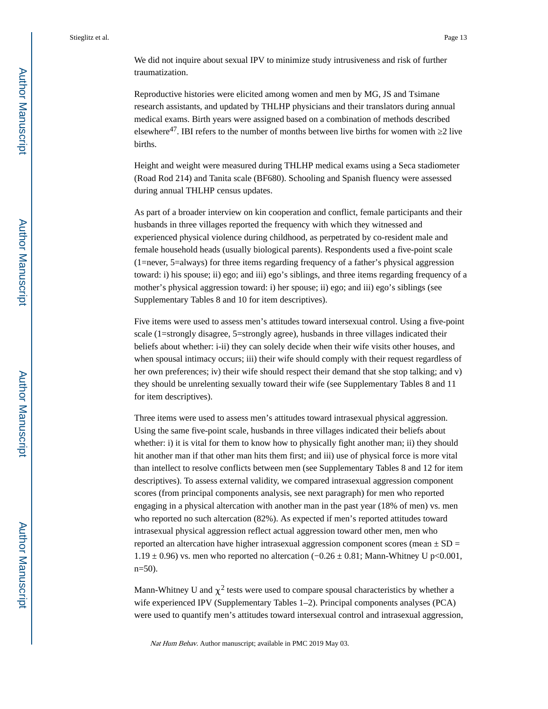We did not inquire about sexual IPV to minimize study intrusiveness and risk of further traumatization.

Reproductive histories were elicited among women and men by MG, JS and Tsimane research assistants, and updated by THLHP physicians and their translators during annual medical exams. Birth years were assigned based on a combination of methods described elsewhere<sup>47</sup>. IBI refers to the number of months between live births for women with  $2$  live births.

Height and weight were measured during THLHP medical exams using a Seca stadiometer (Road Rod 214) and Tanita scale (BF680). Schooling and Spanish fluency were assessed during annual THLHP census updates.

As part of a broader interview on kin cooperation and conflict, female participants and their husbands in three villages reported the frequency with which they witnessed and experienced physical violence during childhood, as perpetrated by co-resident male and female household heads (usually biological parents). Respondents used a five-point scale (1=never, 5=always) for three items regarding frequency of a father's physical aggression toward: i) his spouse; ii) ego; and iii) ego's siblings, and three items regarding frequency of a mother's physical aggression toward: i) her spouse; ii) ego; and iii) ego's siblings (see Supplementary Tables 8 and 10 for item descriptives).

Five items were used to assess men's attitudes toward intersexual control. Using a five-point scale (1=strongly disagree, 5=strongly agree), husbands in three villages indicated their beliefs about whether: i-ii) they can solely decide when their wife visits other houses, and when spousal intimacy occurs; iii) their wife should comply with their request regardless of her own preferences; iv) their wife should respect their demand that she stop talking; and v) they should be unrelenting sexually toward their wife (see Supplementary Tables 8 and 11 for item descriptives).

Three items were used to assess men's attitudes toward intrasexual physical aggression. Using the same five-point scale, husbands in three villages indicated their beliefs about whether: i) it is vital for them to know how to physically fight another man; ii) they should hit another man if that other man hits them first; and iii) use of physical force is more vital than intellect to resolve conflicts between men (see Supplementary Tables 8 and 12 for item descriptives). To assess external validity, we compared intrasexual aggression component scores (from principal components analysis, see next paragraph) for men who reported engaging in a physical altercation with another man in the past year (18% of men) vs. men who reported no such altercation (82%). As expected if men's reported attitudes toward intrasexual physical aggression reflect actual aggression toward other men, men who reported an altercation have higher intrasexual aggression component scores (mean  $\pm$  SD = 1.19 ± 0.96) vs. men who reported no altercation ( $-0.26 \pm 0.81$ ; Mann-Whitney U p<0.001,  $n=50$ ).

Mann-Whitney U and  $\chi^2$  tests were used to compare spousal characteristics by whether a wife experienced IPV (Supplementary Tables 1–2). Principal components analyses (PCA) were used to quantify men's attitudes toward intersexual control and intrasexual aggression,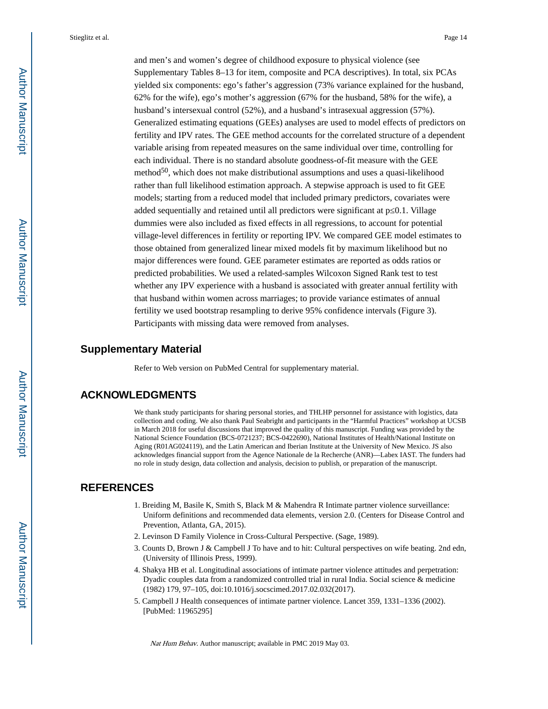and men's and women's degree of childhood exposure to physical violence (see Supplementary Tables 8–13 for item, composite and PCA descriptives). In total, six PCAs yielded six components: ego's father's aggression (73% variance explained for the husband, 62% for the wife), ego's mother's aggression (67% for the husband, 58% for the wife), a husband's intersexual control (52%), and a husband's intrasexual aggression (57%). Generalized estimating equations (GEEs) analyses are used to model effects of predictors on fertility and IPV rates. The GEE method accounts for the correlated structure of a dependent variable arising from repeated measures on the same individual over time, controlling for each individual. There is no standard absolute goodness-of-fit measure with the GEE method<sup>50</sup>, which does not make distributional assumptions and uses a quasi-likelihood rather than full likelihood estimation approach. A stepwise approach is used to fit GEE models; starting from a reduced model that included primary predictors, covariates were added sequentially and retained until all predictors were significant at p 0.1. Village dummies were also included as fixed effects in all regressions, to account for potential village-level differences in fertility or reporting IPV. We compared GEE model estimates to those obtained from generalized linear mixed models fit by maximum likelihood but no major differences were found. GEE parameter estimates are reported as odds ratios or predicted probabilities. We used a related-samples Wilcoxon Signed Rank test to test whether any IPV experience with a husband is associated with greater annual fertility with that husband within women across marriages; to provide variance estimates of annual fertility we used bootstrap resampling to derive 95% confidence intervals (Figure 3). Participants with missing data were removed from analyses.

# **Supplementary Material**

Refer to Web version on PubMed Central for supplementary material.

# **ACKNOWLEDGMENTS**

We thank study participants for sharing personal stories, and THLHP personnel for assistance with logistics, data collection and coding. We also thank Paul Seabright and participants in the "Harmful Practices" workshop at UCSB in March 2018 for useful discussions that improved the quality of this manuscript. Funding was provided by the National Science Foundation (BCS-0721237; BCS-0422690), National Institutes of Health/National Institute on Aging (R01AG024119), and the Latin American and Iberian Institute at the University of New Mexico. JS also acknowledges financial support from the Agence Nationale de la Recherche (ANR)—Labex IAST. The funders had no role in study design, data collection and analysis, decision to publish, or preparation of the manuscript.

# **REFERENCES**

- 1. Breiding M, Basile K, Smith S, Black M & Mahendra R Intimate partner violence surveillance: Uniform definitions and recommended data elements, version 2.0. (Centers for Disease Control and Prevention, Atlanta, GA, 2015).
- 2. Levinson D Family Violence in Cross-Cultural Perspective. (Sage, 1989).
- 3. Counts D, Brown J & Campbell J To have and to hit: Cultural perspectives on wife beating. 2nd edn, (University of Illinois Press, 1999).
- 4. Shakya HB et al. Longitudinal associations of intimate partner violence attitudes and perpetration: Dyadic couples data from a randomized controlled trial in rural India. Social science & medicine (1982) 179, 97–105, doi:10.1016/j.socscimed.2017.02.032(2017).
- 5. Campbell J Health consequences of intimate partner violence. Lancet 359, 1331–1336 (2002). [PubMed: 11965295]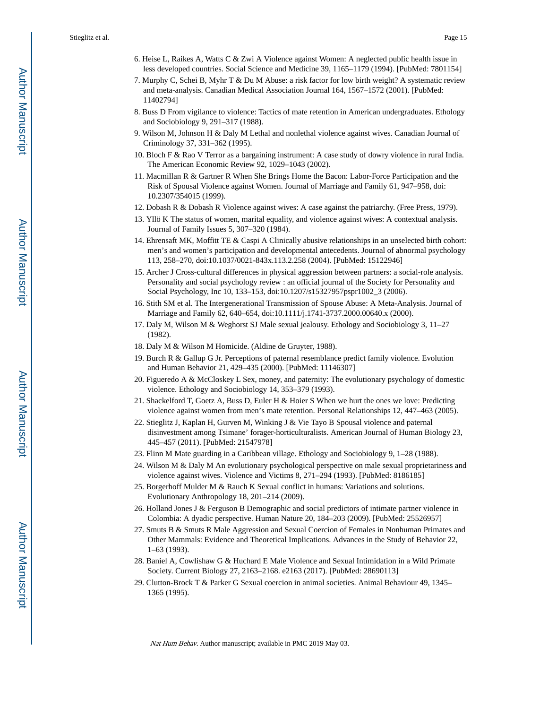- 6. Heise L, Raikes A, Watts C & Zwi A Violence against Women: A neglected public health issue in less developed countries. Social Science and Medicine 39, 1165–1179 (1994). [PubMed: 7801154]
- 7. Murphy C, Schei B, Myhr T & Du M Abuse: a risk factor for low birth weight? A systematic review and meta-analysis. Canadian Medical Association Journal 164, 1567–1572 (2001). [PubMed: 11402794]
- 8. Buss D From vigilance to violence: Tactics of mate retention in American undergraduates. Ethology and Sociobiology 9, 291–317 (1988).
- 9. Wilson M, Johnson H & Daly M Lethal and nonlethal violence against wives. Canadian Journal of Criminology 37, 331–362 (1995).
- 10. Bloch F & Rao V Terror as a bargaining instrument: A case study of dowry violence in rural India. The American Economic Review 92, 1029–1043 (2002).
- 11. Macmillan R & Gartner R When She Brings Home the Bacon: Labor-Force Participation and the Risk of Spousal Violence against Women. Journal of Marriage and Family 61, 947–958, doi: 10.2307/354015 (1999).
- 12. Dobash R & Dobash R Violence against wives: A case against the patriarchy. (Free Press, 1979).
- 13. Yllö K The status of women, marital equality, and violence against wives: A contextual analysis. Journal of Family Issues 5, 307–320 (1984).
- 14. Ehrensaft MK, Moffitt TE & Caspi A Clinically abusive relationships in an unselected birth cohort: men's and women's participation and developmental antecedents. Journal of abnormal psychology 113, 258–270, doi:10.1037/0021-843x.113.2.258 (2004). [PubMed: 15122946]
- 15. Archer J Cross-cultural differences in physical aggression between partners: a social-role analysis. Personality and social psychology review : an official journal of the Society for Personality and Social Psychology, Inc 10, 133–153, doi:10.1207/s15327957pspr1002\_3 (2006).
- 16. Stith SM et al. The Intergenerational Transmission of Spouse Abuse: A Meta-Analysis. Journal of Marriage and Family 62, 640–654, doi:10.1111/j.1741-3737.2000.00640.x (2000).
- 17. Daly M, Wilson M & Weghorst SJ Male sexual jealousy. Ethology and Sociobiology 3, 11–27 (1982).
- 18. Daly M & Wilson M Homicide. (Aldine de Gruyter, 1988).
- 19. Burch R & Gallup G Jr. Perceptions of paternal resemblance predict family violence. Evolution and Human Behavior 21, 429–435 (2000). [PubMed: 11146307]
- 20. Figueredo A & McCloskey L Sex, money, and paternity: The evolutionary psychology of domestic violence. Ethology and Sociobiology 14, 353–379 (1993).
- 21. Shackelford T, Goetz A, Buss D, Euler H & Hoier S When we hurt the ones we love: Predicting violence against women from men's mate retention. Personal Relationships 12, 447–463 (2005).
- 22. Stieglitz J, Kaplan H, Gurven M, Winking J & Vie Tayo B Spousal violence and paternal disinvestment among Tsimane' forager-horticulturalists. American Journal of Human Biology 23, 445–457 (2011). [PubMed: 21547978]
- 23. Flinn M Mate guarding in a Caribbean village. Ethology and Sociobiology 9, 1–28 (1988).
- 24. Wilson M & Daly M An evolutionary psychological perspective on male sexual proprietariness and violence against wives. Violence and Victims 8, 271–294 (1993). [PubMed: 8186185]
- 25. Borgerhoff Mulder M & Rauch K Sexual conflict in humans: Variations and solutions. Evolutionary Anthropology 18, 201–214 (2009).
- 26. Holland Jones J & Ferguson B Demographic and social predictors of intimate partner violence in Colombia: A dyadic perspective. Human Nature 20, 184–203 (2009). [PubMed: 25526957]
- 27. Smuts B & Smuts R Male Aggression and Sexual Coercion of Females in Nonhuman Primates and Other Mammals: Evidence and Theoretical Implications. Advances in the Study of Behavior 22, 1–63 (1993).
- 28. Baniel A, Cowlishaw G & Huchard E Male Violence and Sexual Intimidation in a Wild Primate Society. Current Biology 27, 2163–2168. e2163 (2017). [PubMed: 28690113]
- 29. Clutton-Brock T & Parker G Sexual coercion in animal societies. Animal Behaviour 49, 1345– 1365 (1995).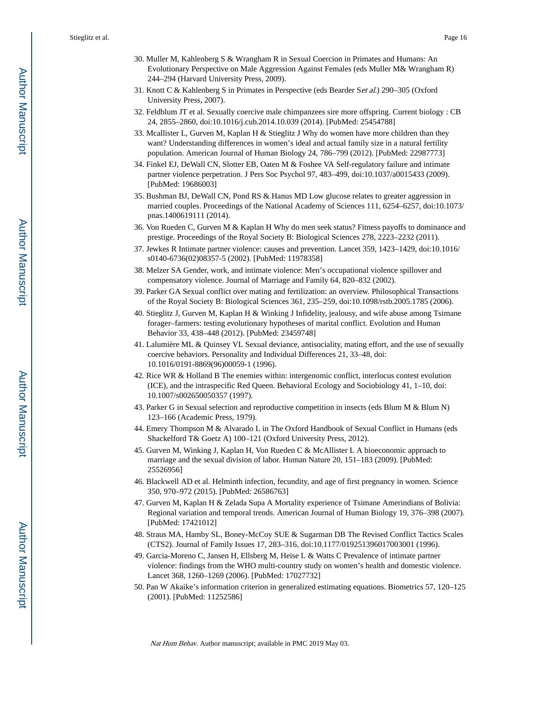- 30. Muller M, Kahlenberg S & Wrangham R in Sexual Coercion in Primates and Humans: An Evolutionary Perspective on Male Aggression Against Females (eds Muller M& Wrangham R) 244–294 (Harvard University Press, 2009).
- 31. Knott C & Kahlenberg S in Primates in Perspective (eds Bearder Set al.) 290–305 (Oxford University Press, 2007).
- 32. Feldblum JT et al. Sexually coercive male chimpanzees sire more offspring. Current biology : CB 24, 2855–2860, doi:10.1016/j.cub.2014.10.039 (2014). [PubMed: 25454788]
- 33. Mcallister L, Gurven M, Kaplan H & Stieglitz J Why do women have more children than they want? Understanding differences in women's ideal and actual family size in a natural fertility population. American Journal of Human Biology 24, 786–799 (2012). [PubMed: 22987773]
- 34. Finkel EJ, DeWall CN, Slotter EB, Oaten M & Foshee VA Self-regulatory failure and intimate partner violence perpetration. J Pers Soc Psychol 97, 483–499, doi:10.1037/a0015433 (2009). [PubMed: 19686003]
- 35. Bushman BJ, DeWall CN, Pond RS & Hanus MD Low glucose relates to greater aggression in married couples. Proceedings of the National Academy of Sciences 111, 6254–6257, doi:10.1073/ pnas.1400619111 (2014).
- 36. Von Rueden C, Gurven M & Kaplan H Why do men seek status? Fitness payoffs to dominance and prestige. Proceedings of the Royal Society B: Biological Sciences 278, 2223–2232 (2011).
- 37. Jewkes R Intimate partner violence: causes and prevention. Lancet 359, 1423–1429, doi:10.1016/ s0140-6736(02)08357-5 (2002). [PubMed: 11978358]
- 38. Melzer SA Gender, work, and intimate violence: Men's occupational violence spillover and compensatory violence. Journal of Marriage and Family 64, 820–832 (2002).
- 39. Parker GA Sexual conflict over mating and fertilization: an overview. Philosophical Transactions of the Royal Society B: Biological Sciences 361, 235–259, doi:10.1098/rstb.2005.1785 (2006).
- 40. Stieglitz J, Gurven M, Kaplan H & Winking J Infidelity, jealousy, and wife abuse among Tsimane forager–farmers: testing evolutionary hypotheses of marital conflict. Evolution and Human Behavior 33, 438–448 (2012). [PubMed: 23459748]
- 41. Lalumière ML & Quinsey VL Sexual deviance, antisociality, mating effort, and the use of sexually coercive behaviors. Personality and Individual Differences 21, 33–48, doi: 10.1016/0191-8869(96)00059-1 (1996).
- 42. Rice WR & Holland B The enemies within: intergenomic conflict, interlocus contest evolution (ICE), and the intraspecific Red Queen. Behavioral Ecology and Sociobiology 41, 1–10, doi: 10.1007/s002650050357 (1997).
- 43. Parker G in Sexual selection and reproductive competition in insects (eds Blum M & Blum N) 123–166 (Academic Press, 1979).
- 44. Emery Thompson M & Alvarado L in The Oxford Handbook of Sexual Conflict in Humans (eds Shackelford T& Goetz A) 100–121 (Oxford University Press, 2012).
- 45. Gurven M, Winking J, Kaplan H, Von Rueden C & McAllister L A bioeconomic approach to marriage and the sexual division of labor. Human Nature 20, 151–183 (2009). [PubMed: 25526956]
- 46. Blackwell AD et al. Helminth infection, fecundity, and age of first pregnancy in women. Science 350, 970–972 (2015). [PubMed: 26586763]
- 47. Gurven M, Kaplan H & Zelada Supa A Mortality experience of Tsimane Amerindians of Bolivia: Regional variation and temporal trends. American Journal of Human Biology 19, 376–398 (2007). [PubMed: 17421012]
- 48. Straus MA, Hamby SL, Boney-McCoy SUE & Sugarman DB The Revised Conflict Tactics Scales (CTS2). Journal of Family Issues 17, 283–316, doi:10.1177/019251396017003001 (1996).
- 49. Garcia-Moreno C, Jansen H, Ellsberg M, Heise L & Watts C Prevalence of intimate partner violence: findings from the WHO multi-country study on women's health and domestic violence. Lancet 368, 1260–1269 (2006). [PubMed: 17027732]
- 50. Pan W Akaike's information criterion in generalized estimating equations. Biometrics 57, 120–125 (2001). [PubMed: 11252586]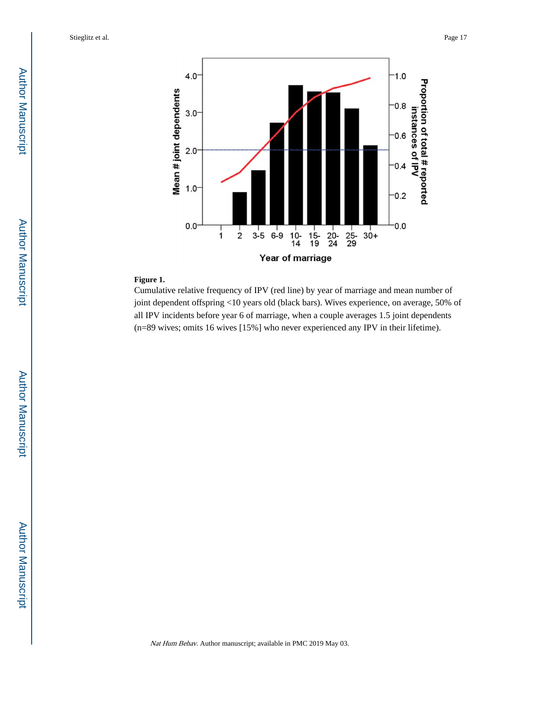

# **Figure 1.**

Cumulative relative frequency of IPV (red line) by year of marriage and mean number of joint dependent offspring <10 years old (black bars). Wives experience, on average, 50% of all IPV incidents before year 6 of marriage, when a couple averages 1.5 joint dependents (n=89 wives; omits 16 wives [15%] who never experienced any IPV in their lifetime).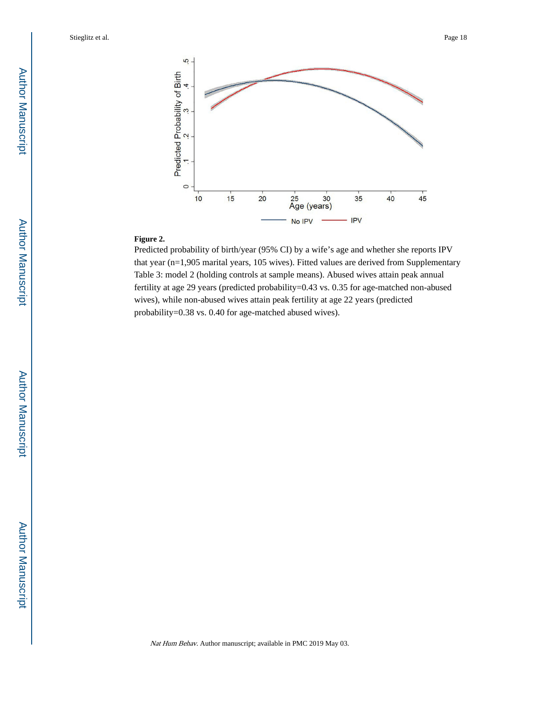

#### **Figure 2.**

Predicted probability of birth/year (95% CI) by a wife's age and whether she reports IPV that year (n=1,905 marital years, 105 wives). Fitted values are derived from Supplementary Table 3: model 2 (holding controls at sample means). Abused wives attain peak annual fertility at age 29 years (predicted probability=0.43 vs. 0.35 for age-matched non-abused wives), while non-abused wives attain peak fertility at age 22 years (predicted probability=0.38 vs. 0.40 for age-matched abused wives).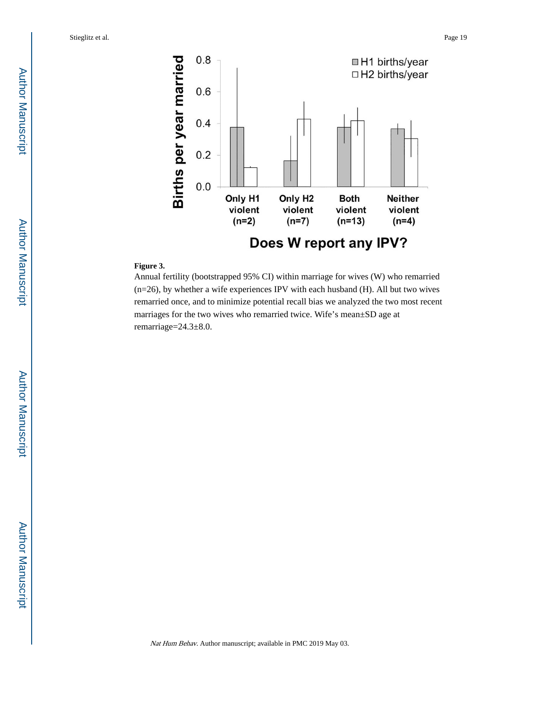

### **Figure 3.**

Annual fertility (bootstrapped 95% CI) within marriage for wives (W) who remarried (n=26), by whether a wife experiences IPV with each husband (H). All but two wives remarried once, and to minimize potential recall bias we analyzed the two most recent marriages for the two wives who remarried twice. Wife's mean±SD age at remarriage=24.3±8.0.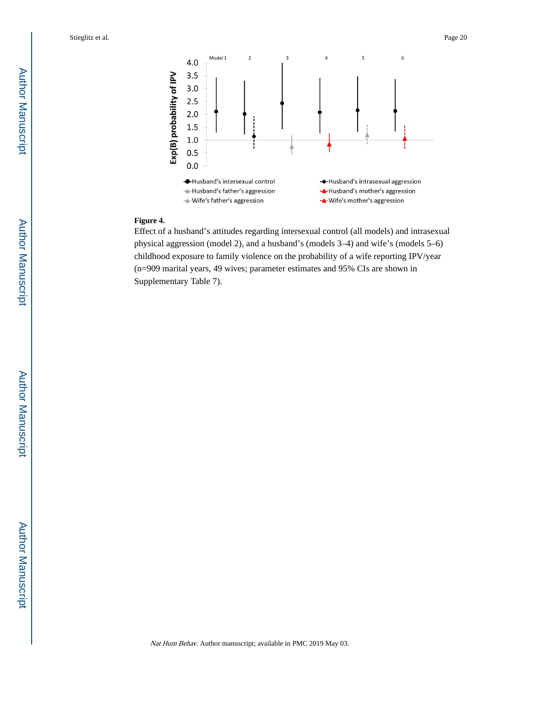

### **Figure 4.**

Effect of a husband's attitudes regarding intersexual control (all models) and intrasexual physical aggression (model 2), and a husband's (models 3–4) and wife's (models 5–6) childhood exposure to family violence on the probability of a wife reporting IPV/year (n=909 marital years, 49 wives; parameter estimates and 95% CIs are shown in Supplementary Table 7).